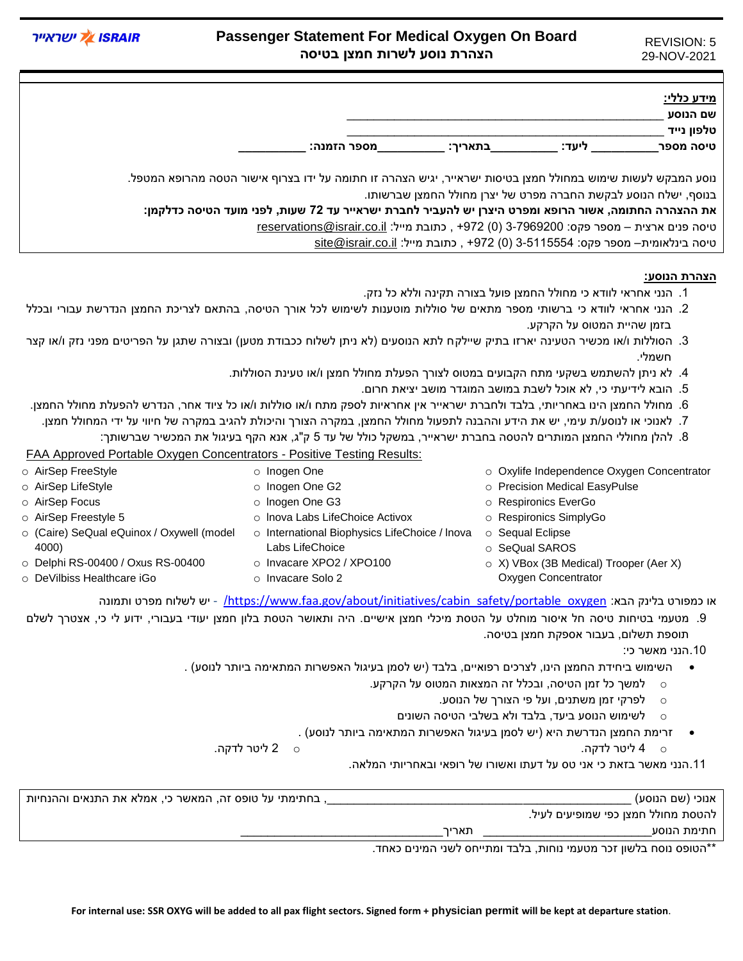REVISION: 5 29-NOV-2021

## **Passenger Statement For Medical Oxygen On Board הצהרת נוסע לשרות חמצן בטיסה**

**ISRAIR** ווא ווא הא

|                                                                                                              |         |                                                                                       | מידע כללי:<br>שם הנוסע |
|--------------------------------------------------------------------------------------------------------------|---------|---------------------------------------------------------------------------------------|------------------------|
|                                                                                                              |         |                                                                                       | טלפון נייד             |
| מספר הזמנה:                                                                                                  | בתאריר: | ליעד:                                                                                 | טיסה מספר              |
|                                                                                                              |         |                                                                                       |                        |
| נוסע המבקש לעשות שימוש במחולל חמצן בטיסות ישראייר, יגיש הצהרה זו חתומה על ידו בצרוף אישור הטסה מהרופא המטפל. |         |                                                                                       |                        |
|                                                                                                              |         | בנוסף, ישלח הנוסע לבקשת החברה מפרט של יצרן מחולל החמצן שברשותו.                       |                        |
| את ההצהרה החתומה, אשור הרופא ומפרט היצרן יש להעביר לחברת ישראייר עד 72 שעות, לפני מועד הטיסה כדלקמן:         |         |                                                                                       |                        |
|                                                                                                              |         | טיסה פנים ארצית – מספר פקס: 3-7969200 (0) 972+, כתובת מייל: reservations@israir.co.il |                        |

טיסה בינלאומית– מספר פקס: 3-5115554 )0( +972 , כתובת מייל: [il.co.israir@site](mailto:site@israir.co.il)

## **הצהרת הנוסע:**

- .1 הנני אחראי לוודא כי מחולל החמצן פועל בצורה תקינה וללא כל נזק.
- .2 הנני אחראי לוודא כי ברשותי מספר מתאים של סוללות מוטענות לשימוש לכל אורך הטיסה, בהתאם לצריכת החמצן הנדרשת עבורי ובכלל בזמן שהיית המטוס על הקרקע.
- 3. הסוללות ו/או מכשיר הטעינה יארזו בתיק שיילקח לתא הנוסעים (לא ניתן לשלוח ככבודת מטען) ובצורה שתגן על הפריטים מפני נזק ו/או קצר חשמלי.
	- .4 לא ניתן להשתמש בשקעי מתח הקבועים במטוס לצורך הפעלת מחולל חמצן ו/או טעינת הסוללות.
		- .5 הובא לידיעתי כי, לא אוכל לשבת במושב המוגדר מושב יציאת חרום.
- .6 מחולל החמצן הינו באחריותי, בלבד ולחברת ישראייר אין אחראיות לספק מתח ו/או סוללות ו/או כל ציוד אחר, הנדרש להפעלת מחולל החמצן.
	- .7 לאנוכי או לנוסע/ת עימי, יש את הידע וההבנה לתפעול מחולל החמצן, במקרה הצורך והיכולת להגיב במקרה של חיווי על ידי המחולל חמצן.
		- .8 להלן מחוללי החמצן המותרים להטסה בחברת ישראייר, במשקל כולל של עד 5 ק"ג, אנא הקף בעיגול את המכשיר שברשותך:

FAA Approved Portable Oxygen Concentrators - Positive Testing Results:

o [AirSep FreeStyle](https://www.faa.gov/about/initiatives/cabin_safety/portable_oxygen/media/airsep_freestyle_test_results.pdf) o [AirSep LifeStyle](https://www.faa.gov/about/initiatives/cabin_safety/portable_oxygen/media/airsep_lifestyle_test_results.pdf) o [AirSep Focus](https://www.faa.gov/about/initiatives/cabin_safety/portable_oxygen/media/airsep_focus_test_results1.pdf) o [AirSep Freestyle 5](https://www.faa.gov/about/initiatives/cabin_safety/portable_oxygen/media/airsep_freestyle_5_test_results.pdf) o [\(Caire\) SeQual eQuinox / Oxywell \(model](https://www.faa.gov/about/initiatives/cabin_safety/portable_oxygen/media/cairesequal_equi_oxy_test_results.pdf)  [4000\)](https://www.faa.gov/about/initiatives/cabin_safety/portable_oxygen/media/cairesequal_equi_oxy_test_results.pdf) o [Delphi RS-00400 / Oxus RS-00400](https://www.faa.gov/about/initiatives/cabin_safety/portable_oxygen/media/Delphi_RS-00400.pdf) o [DeVilbiss Healthcare iGo](https://www.faa.gov/about/initiatives/cabin_safety/portable_oxygen/media/DeVilblss_306DS.pdf) o [Inogen One](https://www.faa.gov/about/initiatives/cabin_safety/portable_oxygen/media/Inogen_onePOC.pdf) o [Inogen One G2](https://www.faa.gov/about/initiatives/cabin_safety/portable_oxygen/media/Inogen_G2POC.pdf) o [lnogen One G3](https://www.faa.gov/about/initiatives/cabin_safety/portable_oxygen/media/Inogen_one_G3_test_results.pdf) o [lnova Labs LifeChoice Activox](https://www.faa.gov/about/initiatives/cabin_safety/portable_oxygen/media/inova_lifechoice_activox_test_results.pdf) o International Biophysics LifeChoice / Inova o [Sequal Eclipse](https://www.faa.gov/about/initiatives/cabin_safety/portable_oxygen/media/sequal_eclipse_test_results.pdf) [Labs LifeChoice](https://www.faa.gov/about/initiatives/cabin_safety/portable_oxygen/media/IBC_LifeChoice.pdf) o [Invacare XPO2 / XPO100](https://www.faa.gov/about/initiatives/cabin_safety/portable_oxygen/media/invacare_test_results.pdf) o [Invacare Solo 2](https://www.faa.gov/about/initiatives/cabin_safety/portable_oxygen/media/Invacare_solo2.pdf) o [Oxylife Independence Oxygen Concentrator](https://www.faa.gov/about/initiatives/cabin_safety/portable_oxygen/media/Oxilife_Independence.pdf) o [Precision Medical EasyPulse](https://www.faa.gov/about/initiatives/cabin_safety/portable_oxygen/media/precisionmedical_easypulse1.pdf) o [Respironics EverGo](https://www.faa.gov/about/initiatives/cabin_safety/portable_oxygen/media/Respironics_EverGo_Test_Results.pdf) o [Respironics SimplyGo](https://www.faa.gov/about/initiatives/cabin_safety/portable_oxygen/media/respironics_simply_go_test_results1.pdf) o [SeQual SAROS](https://www.faa.gov/about/initiatives/cabin_safety/portable_oxygen/media/sequal_SAROS_test_results1.pdf) o [X\) VBox \(3B Medical\) Trooper \(Aer X\)](https://www.faa.gov/about/initiatives/cabin_safety/portable_oxygen/media/VBOX_Inc_Trooper_test_results.pdf)  [Oxygen Concentrator](https://www.faa.gov/about/initiatives/cabin_safety/portable_oxygen/media/VBOX_Inc_Trooper_test_results.pdf)

ותמונה [https://www.faa.gov/about/initiatives/cabin\\_safety/portable\\_oxygen](https://www.faa.gov/about/initiatives/cabin_safety/portable_oxygen/) - יש לשלוח מפרט ותמונה - https://www

.9 מטעמי בטיחות טיסה חל איסור מוחלט על הטסת מיכלי חמצן אישיים. היה ותאושר הטסת בלון חמצן יעודי בעבורי, ידוע לי כי, אצטרך לשלם תוספת תשלום, בעבור אספקת חמצן בטיסה.

.10הנני מאשר כי:

- השימוש ביחידת החמצן הינו, לצרכים רפואיים, בלבד )יש לסמן בעיגול האפשרות המתאימה ביותר לנוסע( .
	- $\,$ למשך כל זמן הטיסה, ובכלל זה המצאות המטוס על הקרקע  $\,$ 
		- o לפרקי זמן משתנים, ועל פי הצורך של הנוסע.
		- o לשימוש הנוסע ביעד, בלבד ולא בשלבי הטיסה השונים
	- זרימת החמצן הנדרשת היא )יש לסמן בעיגול האפשרות המתאימה ביותר לנוסע( .
		-
	- o 4 ליטר לדקה. o 2 ליטר לדקה.

.11הנני מאשר בזאת כי אני טס על דעתו ואשורו של רופאי ובאחריותי המלאה.

| , בחתימתי על טופס זה, המאשר כי, אמלא את התנאים וההנחיות |       | אנוכי (שם הנוסע)                    |
|---------------------------------------------------------|-------|-------------------------------------|
|                                                         |       | להטסת מחולל חמצן כפי שמופיעים לעיל. |
|                                                         | תאריר | חתימת הנוסע                         |

\*\*הטופס נוסח בלשון זכר מטעמי נוחות, בלבד ומתייחס לשני המינים כאחד.